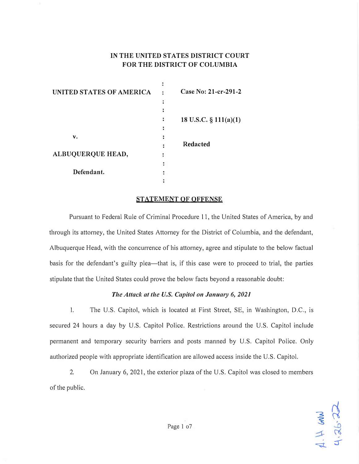# **IN THE UNITED STATES DISTRICT COURT FOR THE DISTRICT OF COLUMBIA**

| UNITED STATES OF AMERICA | Case No: 21-cr-291-2     |
|--------------------------|--------------------------|
|                          |                          |
|                          |                          |
|                          | 18 U.S.C. $\S$ 111(a)(1) |
|                          |                          |
| v.                       |                          |
|                          | <b>Redacted</b>          |
| ALBUQUERQUE HEAD,        |                          |
|                          |                          |
| Defendant.               |                          |
|                          |                          |

#### **STATEMENT OF OFFENSE**

Pursuant to Federal Rule of Criminal Procedure 11, the United States of America, by and through its attorney, the United States Attorney for the District of Columbia, and the defendant, Albuquerque Head, with the concurrence of his attorney, agree and stipulate to the below factual basis for the defendant's guilty plea—that is, if this case were to proceed to trial, the parties stipulate that the United States could prove the below facts beyond a reasonable doubt:

### *The Attack at the U.S. Capitol on Janumy 6, 2021*

1. The U.S. Capitol, which is located at First Street, SE, in Washington, D.C., is secured 24 hours a day by U.S. Capitol Police. Restrictions around the U.S. Capitol include permanent and temporary security barriers and posts manned by U.S. Capitol Police. Only authorized people with appropriate identification are allowed access inside the U.S. Capitol.

2. On January 6, 2021, the exterior plaza of the U.S. Capitol was closed to members of the public.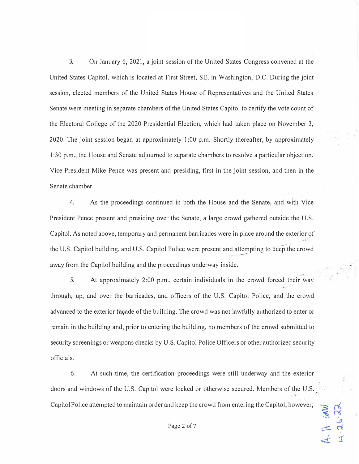3. On January 6, 2021, a joint session of the United States Congress convened at the oUnited States Capitol, which is located at First Street, SE, in Washington, D.C. During the joint session, elected members of the United States House of Representatives and the United States Senate were meeting in separate chambers of the United States Capitol to certify the vote count of the Electoral College of the 2020 Presidential Election, which had taken place on November 3, 2020. The joint session began at approximately 1 :00 p.m. Shortly thereafter, by approximately I :30 p.m., the House and Senate adjourned to separate chambers to resolve a particular objection. Vice President Mike Pence was present and presiding, first in the joint session, and then in the Senate chamber.

4. As the proceedings continued in both the House and the Senate, and with Vice President Pence present and presiding over the Senate, a large crowd gathered outside the U.S. Capitol. As noted above, temporary and permanent barricades were in place around the exterior of *... A�··*  Laphor. As noted above, temporary and permanent barricades were in prace around the exterior of<br>the U.S. Capitol building, and U.S. Capitol Police were present and attempting to keep the crowd away from the Capitol building and the proceedings underway inside.

5. At approximately 2:00 p.m., certain individuals in the crowd forced their way through, up, and over the barricades, and officers of the U.S. Capitol Police, and the crowd advanced to the exterior façade of the building. The crowd was not lawfully authorized to enter or remain in the building and, prior to entering the building, no members of the crowd submitted to security screenings or weapons checks by U.S. Capitol Police Officers or other authorized security officials.

6. At such time, the cetiification proceedings were still underway and the exterior doors and windows of the U.S. Capitol were locked or otherwise secured. Members of the U.S. Capitol Police attempted to maintain order and keep the crowd from entering the Capitol; however,

 $\frac{3}{2}$ ,  $\frac{5}{2}$ 

 $4.5$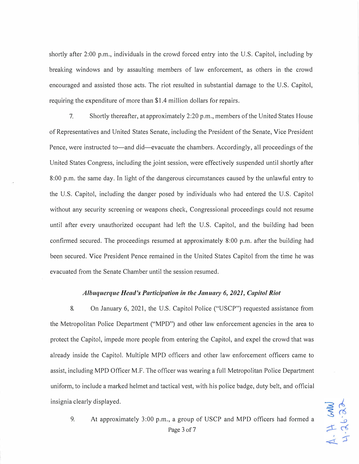shortly after 2:00 p.m., individuals in the crowd forced entry into the U.S. Capitol, including by breaking windows and by assaulting members of law enforcement, as others in the crowd encouraged and assisted those acts. The riot resulted in substantial damage to the U.S. Capitol, requiring the expenditure of more than \$1.4 million dollars for repairs.

7. Shortly thereafter, at approximately 2:20 p.m., members of the United States House of Representatives and United States Senate, including the President of the Senate, Vice President Pence, were instructed to—and did—evacuate the chambers. Accordingly, all proceedings of the United States Congress, including the joint session, were effectively suspended until shortly after 8:00 p.m. the same day. In light of the dangerous circumstances caused by the unlawful entry to the U.S. Capitol, including the danger posed by individuals who had entered the U.S. Capitol without any security screening or weapons check, Congressional proceedings could not resume until after every unauthorized occupant had left the U.S. Capitol, and the building had been confirmed secured. The proceedings resumed at approximately 8:00 p.m. after the building had been secured. Vice President Pence remained in the United States Capitol from the time he was evacuated from the Senate Chamber until the session resumed.

#### *Albuquerque Head's Participation in the January 6, 2021, Capitol Riot*

8. On January 6, 2021, the U.S. Capitol Police ("USCP") requested assistance from the Metropolitan Police Department ("MPD") and other law enforcement agencies in the area to protect the Capitol, impede more people from entering the Capitol, and expel the crowd that was already inside the Capitol. Multiple MPD officers and other law enforcement officers came to assist, including MPD Officer M.F. The officer was wearing a full Metropolitan Police Department uniform, to include a marked helmet and tactical vest, with his police badge, duty belt, and official insignia clearly displayed.

9. At approximately 3:00 p.m., a group of USCP and MPD officers had formed a Page 3 of 7

MM H.Y.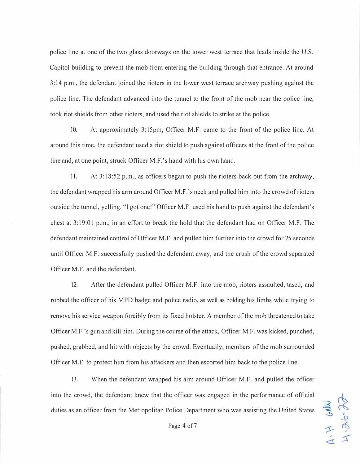police line at one of the two glass doorways on the lower west terrace that leads inside the U.S. Capitol building to prevent the mob from entering the building through that entrance. At around 3: 14 p.m., the defendant joined the rioters in the lower west terrace archway pushing against the police line. The defendant advanced into the tunnel to the front of the mob near the police line, took riot shields from other rioters, and used the riot shields to strike at the police.

10. At approximately 3:15pm, Officer M.F. came to the front of the police line. At around this time, the defendant used a riot shield to push against officers at the front of the police line and, at one point, struck Officer M.F. 's hand with his own hand.

11. At 3:18:52 p.m., as officers began to push the rioters back out from the archway, the defendant wrapped his arm around Officer M.F. 's neck and pulled him into the crowd of rioters outside the tunnel, yelling, "I got one!" Officer M.F. used his hand to push against the defendant's chest at 3:19:01 p.m., in an effort to break the hold that the defendant had on Officer M.F. The defendant maintained control of Officer M.F. and pulled him further into the crowd for 25 seconds until Officer M.F. successfully pushed the defendant away, and the crush of the crowd separated Officer M.F. and the defendant.

12. After the defendant pulled Officer M.F. into the mob, rioters assaulted, tased, and robbed the officer of his MPD badge and police radio, as well as holding his limbs while trying to remove his service weapon forcibly from its fixed holster. A member of the mob threatened to take Officer M.F.'s gun and kill him. During the course of the attack, Officer M.F. was kicked, punched, pushed, grabbed, and hit with objects by the crowd. Eventually, members of the mob surrounded Officer M.F. to protect him from his attackers and then escorted him back to the police line.

13. When the defendant wrapped his arm around Officer M.F. and pulled the officer into the crowd, the defendant knew that the officer was engaged in the performance of official duties as an officer from the Metropolitan Police Department who was assisting the United States

MM9 HIT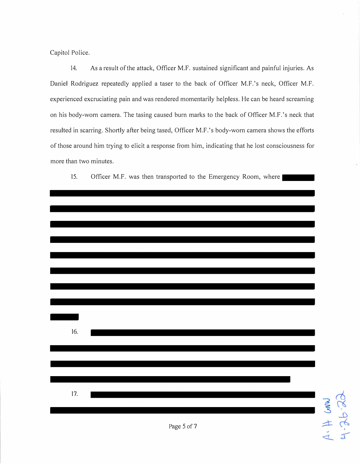Capitol Police.

14. As a result of the attack, Officer M.F. sustained significant and painful injuries. As Daniel Rodriguez repeatedly applied a taser to the back of Officer M.F.'s neck, Officer M.F. experienced excruciating pain and was rendered momentarily helpless. He can be heard screaming on his body-worn camera. The tasing caused burn marks to the back of Officer M.F.'s neck that resulted in scarring. Shortly after being tased, Officer M.F.'s body-worn camera shows the efforts of those around him trying to elicit a response from him, indicating that he lost consciousness for more than two minutes.



| 16. |             |              |
|-----|-------------|--------------|
| 17. | Page 5 of 7 | 1.7.26.96.70 |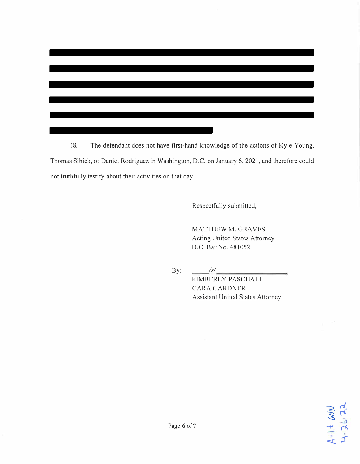18. The defendant does not have first-hand knowledge of the actions of Kyle Young, Thomas Sibick, or Daniel Rodriguez in Washington, D.C. on January 6, 2021, and therefore could not truthfully testify about their activities on that day.

Respectfully submitted,

MATTHEW M. GRAYES Acting United States Attorney D.C. Bar No. 481052

By:  $\frac{1}{s}$ 

KIMBERLY PASCHALL CARA GARDNER Assistant United States Attorney